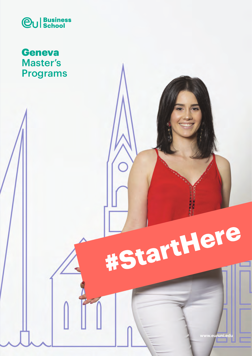

# **Geneva** Master's Programs



E ArtHere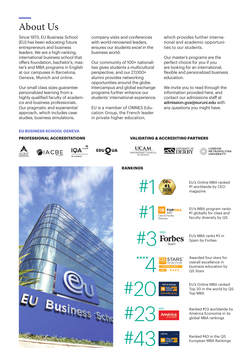# About Us

Since 1973, EU Business School (EU) has been educating future entrepreneurs and business leaders. We are a high-ranking, international business school that offers foundation, bachelor's, master's and MBA programs in English at our campuses in Barcelona, Geneva, Munich and online.

Our small class sizes guarantee personalized learning from a highly qualified faculty of academics and business professionals. Our pragmatic and experiential approach, which includes case studies, business simulations,

company visits and conferences with world-renowned leaders. ensures our students excel in the business world.

Our community of 100+ nationalities gives students a multicultural perspective, and our 27,000+ alumni provides networking opportunities around the globe. Intercampus and global exchange programs further enhance our students' international experience.

EU is a member of OMNES Education Group, the French leader in private higher education,

which provides further international and academic opportunities to our students.

Our master's programs are the perfect choice for you if you are looking for an international, flexible and personalized business education.

We invite you to read through the information provided here, and contact our admissions staff at admission.gva@euruni.edu with any questions you might have.

#### **EU BUSINESS SCHOOL GENEVA**

#### **PROFESSIONAL ACCREDITATIONS**









## **VALIDATING & ACCREDITING PARTNERS**





LONDON<br>METROPOLITAN<br>UNIVERSITY



**RANKINGS**



#1 worldwide by CEO magazine

**EU's MBA program ranks**<br> **CS TOPMBA** EU's MBA program ranks<br>
#1 globally for class and<br>
pressity<br>
faculty diversity by QS #1 globally for class and Faculty **dividends** and the Class & Faculty by QS Class **of Class Article Class Article**<br>Class & Faculty **diversity** by QS



Diversity

**TOP 20 Globally Online MBA** | **2021**

**STARS** 

MBA

Awarded four stars for overall excellence in business education by QS Stars

EU's Online MBA ranked Top 20 in the world by QS Top MBA

Ranked #23 worldwide by<br>América Economía in its América Ranked #23 worldwide b<br>América Economía in its<br>global MBA rankings



Ranked #43 in the QS European MBA Rankings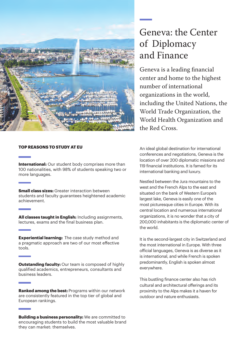

#### **TOP REASONS TO STUDY AT EU**

**International:** Our student body comprises more than 100 nationalities, with 98% of students speaking two or more languages.

**Small class sizes:** Greater interaction between students and faculty guarantees heightened academic achievement.

**All classes taught in English:** Including assignments, lectures, exams and the final business plan.

**Experiential learning:** The case study method and a pragmatic approach are two of our most effective tools.

**Outstanding faculty:** Our team is composed of highly qualified academics, entrepreneurs, consultants and business leaders.

**Ranked among the best:** Programs within our network are consistently featured in the top tier of global and European rankings.

**Building a business personality:** We are committed to encouraging students to build the most valuable brand they can market: themselves.

# Geneva: the Center of Diplomacy and Finance

Geneva is a leading financial center and home to the highest number of international organizations in the world, including the United Nations, the World Trade Organization, the World Health Organization and the Red Cross.

An ideal global destination for international conferences and negotiations, Geneva is the location of over 200 diplomatic missions and 119 financial institutions. It is famed for its international banking and luxury.

Nestled between the Jura mountains to the west and the French Alps to the east and situated on the bank of Western Europe's largest lake, Geneva is easily one of the most picturesque cities in Europe. With its central location and numerous international organizations, it is no wonder that a city of 200,000 inhabitants is the diplomatic center of the world.

It is the second-largest city in Switzerland and the most international in Europe. With three official languages, Geneva is as diverse as it is international, and while French is spoken predominantly, English is spoken almost everywhere.

This bustling finance center also has rich cultural and architectural offerings and its proximity to the Alps makes it a haven for outdoor and nature enthusiasts.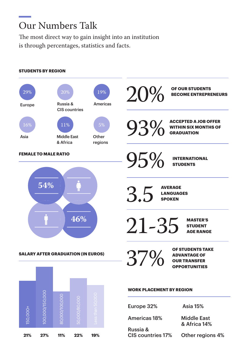# Our Numbers Talk

The most direct way to gain insight into an institution is through percentages, statistics and facts.

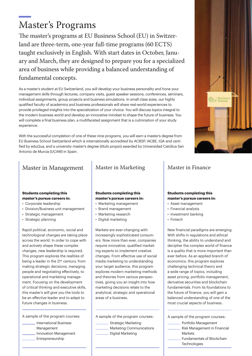# Master's Programs

The master's programs at EU Business School (EU) in Switzerland are three-term, one-year full-time programs (60 ECTS) taught exclusively in English. With start dates in October, January and March, they are designed to prepare you for a specialized area of business while providing a balanced understanding of fundamental concepts.

As a master's student at EU Switzerland, you will develop your business personality and hone your management skills through lectures, company visits, guest speaker sessions, conferences, seminars, individual assignments, group projects and business simulations. In small class sizes, our highly qualified faculty of academics and business professionals will share real-world experiences to provide privileged insights into the specialization of your choice. You will discuss topics integral to the modern business world and develop an innovative mindset to shape the future of business. You will complete a final business plan, a multifaceted assignment that is a culmination of your study experience.

With the successful completion of one of these nine programs, you will earn a master's degree from EU Business School Switzerland which is internationally accredited by ACBSP, IACBE, IQA and certified by eduQua, and a university master's degree (*título propio*) awarded by Universidad Católica San Antonio de Murcia (UCAM) in Spain.

## Master in Management | Master in Marketing

#### **Students completing this master's pursue careers in:**

- Corporate leadership
- Division/Business unit management
- Strategic management
- Strategic planning

Rapid political, economic, social and technological changes are taking place across the world. In order to cope with and actively shape these complex changes, new leadership is required. This program explores the realities of being a leader in the 21<sup>st</sup> century, from making strategic decisions, managing people and negotiating effectively, to operational and marketing management. Focusing on the development of critical thinking and executive skills, this master's will give you the tools to be an effective leader and to adapt to future changes in business.

A sample of the program courses:

- International Business Management
- Innovation Management
- Entrepreneurship

#### **Students completing this master's pursue careers in:**

- Marketing management
- Brand management
- Marketing research
- Digital marketing

Markets are ever-changing with increasingly sophisticated consumers. Now more than ever, companies require innovative, qualified marketing experts to implement creative changes. From effective use of social media marketing to understanding your target audience, this program explores modern marketing methods and theories from various perspectives, giving you an insight into how marketing decisions relate to the analytical, strategic and operational areas of a business.

A sample of the program courses:

- Strategic Marketing
- Marketing Communications
- Digital Marketing

## Master in Finance

#### **Students completing this master's pursue careers in:**

- Asset management
- Financial analysis
- Investment banking
- Fintech
- New financial paradigms are emerging. With shifts in regulations and ethical thinking, the ability to understand and decipher the complex world of finance is a quality that is more important than ever before. As an applied branch of economics, this program explores challenging technical theory and a wide range of topics, including asset pricing, portfolio management, derivative securities and blockchain fundamentals. From its foundations to the future of finance, you will gain a balanced understanding of one of the most crucial aspects of business.

A sample of the program courses:

- Portfolio Management Risk Management in Financial Markets Fundamentals of Blockchain
	- **Technologies**

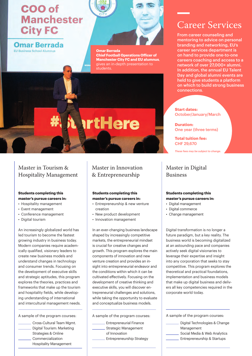# COO of **Manchester City FC**

## **Omar Berrada**

EU Business School Alumnus



# **artHere**

# Career Services

From career counseling and mentoring to advice on personal branding and networking, EU's career services department is on hand to provide one-to-one careers coaching and access to a network of over 27,000+ alumni. In addition, the annual EU Talent Day and global alumni events are held to give students a platform on which to build strong business connections.

**Start dates:** October/January/March

**Duration:** One year (three terms)

**Total tuition fee:**  CHF 29,670

*These fees may be subject to change.*

## Master in Digital Business

#### **Students completing this master's pursue careers in:**

- Digital management
- Digital commerce
- Change management

Digital transformation is no longer a future paradigm, but a key reality. The business world is becoming digitalized at an astounding pace and companies actively seek digital visionaries to leverage their expertise and insight into any corporation that seeks to stay competitive. This program explores the theoretical and practical foundations, implementation and business models that make up digital business and delivers all key competencies required in the corporate world today.

A sample of the program courses:

- Digital Technologies & Change Management
- Social Media & Web Analytics
- Entrepreneurship & Startups

## Master in Tourism & Hospitality Management

#### **Students completing this master's pursue careers in:**

- Hospitality management
- Event management
- Conference management
- Digital tourism

An increasingly globalized world has led tourism to become the fastest growing industry in business today. Modern companies require academically qualified, visionary leaders to create new business models and understand changes in technology and consumer trends. Focusing on the development of executive skills and strategic aptitudes, this program explores the theories, practices and frameworks that make up the tourism and hospitality fields, while developing understanding of international and intercultural management needs.

A sample of the program courses:

Cross-Cultural Team Mgmt. Digital Tourism: Marketing Strategies & Online Commercialization Hospitality Management

## Master in Innovation & Entrepreneurship

#### **Students completing this master's pursue careers in:**

- Entrepreneurship & new venture creation
- New product development
- Innovation management

In an ever-changing business landscape shaped by increasingly competitive markets, the entrepreneurial mindset is crucial for creative changes and growth. This program explores the main components of innovation and new venture creation and provides an insight into entrepreneurial endeavor and the conditions within which it can be cultivated effectively. Focusing on the development of creative thinking and executive skills, you will discover entrepreneurial challenges and solutions, while taking the opportunity to evaluate and conceptualize business models.

A sample of the program courses:

| <b>Entrepreneurial Finance</b>   |
|----------------------------------|
| <b>Strategic Management</b>      |
| of Innovation                    |
| <b>Entrepreneurship Strategy</b> |
|                                  |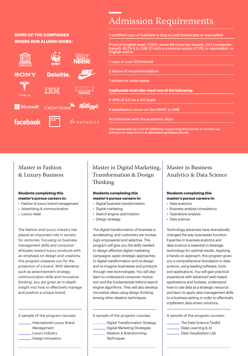# Admission Requirements

### **SOME OF THE COMPANIES WHERE OUR ALUMNI WORK:**



1 certified copy of bachelor's degree and transcripts or equivalent

Proof of English level: TOEFL score 89 (internet-based), 233 (computerbased); IELTS 6.5; CAE C1 with a minimum score of 176; or equivalent; or English native

- 1 copy of your CV/résumé
- 2 letters of recommendation

1 written or video essay

**Applicants must also meet one of the following:**

A GPA of 3.0 on a 4.0 scale

A satisfactory score on the GMAT or GRE

An interview with the academic dean

*Visit euruni.edu for a list of additional supporting documents or contact our admissions department at admission.gva@euruni.edu*

## Master in Fashion & Luxury Business

#### **Students completing this master's pursue careers in:**

• Fashion & luxury brand management

- Advertising & communication
- Luxury retail

The fashion and luxury industry has played an important role in society for centuries. Focusing on business management skills and consumer attitudes toward luxury products with an emphasis on design and creativity, this program prepares you for the projection of a brand. With elements such as advertisement strategy, communication skills and innovative thinking, you are given an in-depth insight into how to effectively manage and position a unique brand.

A sample of the program courses:

- International Luxury Brand Management Luxury Industry
	- \_ Design Innovation

## Master in Digital Marketing, Transformation & Design Thinking

#### **Students completing this master's pursue careers in:**

- Digital business transformation
- Digital marketing
- Search engine optimization
- Design strategy

The digital transformation of business is accelerating, and customers are increasingly empowered and selective. This program will give you the skills needed to design effective digital marketing campaigns, apply strategic approaches to digital transformation and re-design and re-imagine businesses and products through new technologies. You will also learn to understand consumer motivation and the fundamentals behind search engine algorithms. They will also develop innovative ideas using design thinking among other ideation techniques.

A sample of the program courses:

Digital Transformation Strategy Digital Marketing Strategies Ideation & Brainstorming **Techniques** 

## Master in Business Analytics & Data Science

#### **Students completing this master's pursue careers in:**

- Data analytics
- Business analysis consultancy
- Operations analysis
- Data science

Technology advances have dramatically changed the way businesses function. Expertise in business analytics and data science is essential to leverage technology for optimal results. Applying a hands-on approach, this program gives you a comprehensive foundation in data science, using leading software, tools and applications. You will gain practical experience with advanced web-based applications and toolsets, understand how to use data as a strategic resource and learn to apply data management skills to a business setting in order to effectively implement data-driven solutions.

A sample of the program courses:

- The Data Science Toolkit
- Deep Learning & AI
- Data Visualization Lab